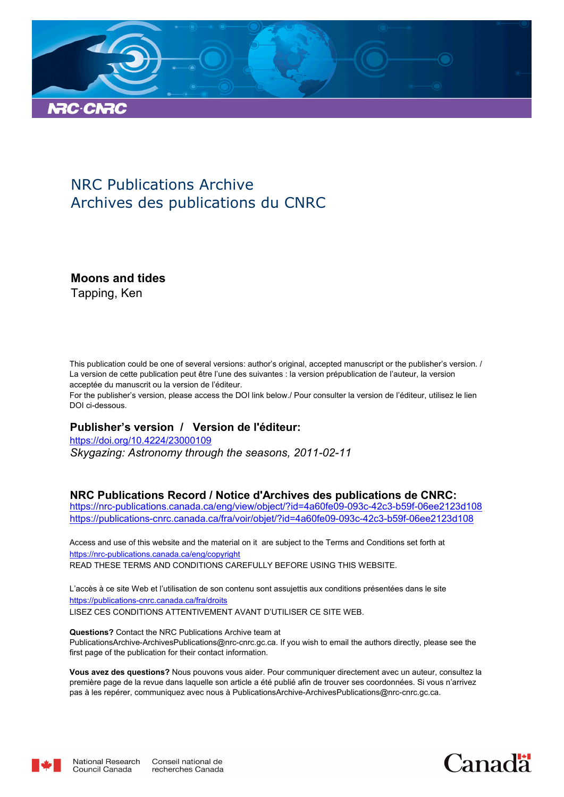

### NRC Publications Archive Archives des publications du CNRC

**Moons and tides**

Tapping, Ken

This publication could be one of several versions: author's original, accepted manuscript or the publisher's version. / La version de cette publication peut être l'une des suivantes : la version prépublication de l'auteur, la version acceptée du manuscrit ou la version de l'éditeur.

For the publisher's version, please access the DOI link below./ Pour consulter la version de l'éditeur, utilisez le lien DOI ci-dessous.

#### **Publisher's version / Version de l'éditeur:**

*Skygazing: Astronomy through the seasons, 2011-02-11* https://doi.org/10.4224/23000109

#### **NRC Publications Record / Notice d'Archives des publications de CNRC:**

https://nrc-publications.canada.ca/eng/view/object/?id=4a60fe09-093c-42c3-b59f-06ee2123d108 https://publications-cnrc.canada.ca/fra/voir/objet/?id=4a60fe09-093c-42c3-b59f-06ee2123d108

READ THESE TERMS AND CONDITIONS CAREFULLY BEFORE USING THIS WEBSITE. https://nrc-publications.canada.ca/eng/copyright Access and use of this website and the material on it are subject to the Terms and Conditions set forth at

https://publications-cnrc.canada.ca/fra/droits L'accès à ce site Web et l'utilisation de son contenu sont assujettis aux conditions présentées dans le site LISEZ CES CONDITIONS ATTENTIVEMENT AVANT D'UTILISER CE SITE WEB.

**Questions?** Contact the NRC Publications Archive team at PublicationsArchive-ArchivesPublications@nrc-cnrc.gc.ca. If you wish to email the authors directly, please see the first page of the publication for their contact information.

**Vous avez des questions?** Nous pouvons vous aider. Pour communiquer directement avec un auteur, consultez la première page de la revue dans laquelle son article a été publié afin de trouver ses coordonnées. Si vous n'arrivez pas à les repérer, communiquez avec nous à PublicationsArchive-ArchivesPublications@nrc-cnrc.gc.ca.